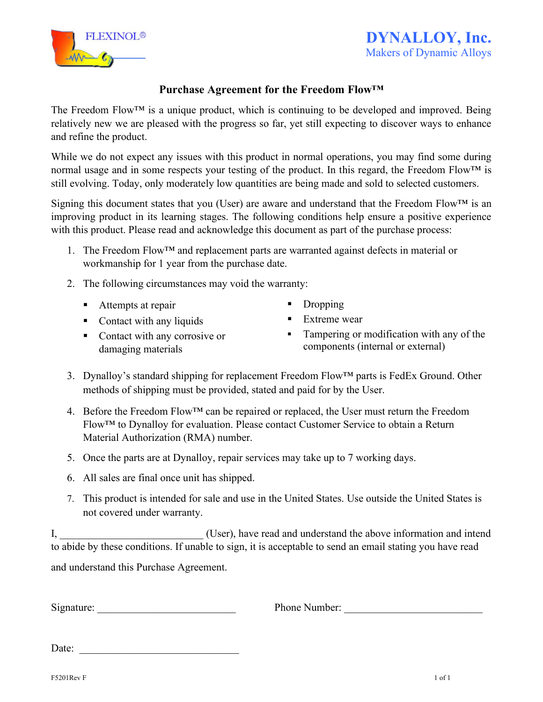

## **Purchase Agreement for the Freedom Flow™**

The Freedom Flow<sup>TM</sup> is a unique product, which is continuing to be developed and improved. Being relatively new we are pleased with the progress so far, yet still expecting to discover ways to enhance and refine the product.

While we do not expect any issues with this product in normal operations, you may find some during normal usage and in some respects your testing of the product. In this regard, the Freedom Flow<sup>™</sup> is still evolving. Today, only moderately low quantities are being made and sold to selected customers.

Signing this document states that you (User) are aware and understand that the Freedom Flow<sup>TM</sup> is an improving product in its learning stages. The following conditions help ensure a positive experience with this product. Please read and acknowledge this document as part of the purchase process:

- 1. The Freedom Flow™ and replacement parts are warranted against defects in material or workmanship for 1 year from the purchase date.
- 2. The following circumstances may void the warranty:
	- Attempts at repair
	- Contact with any liquids
	- Contact with any corrosive or damaging materials
- Dropping
- Extreme wear
- **•** Tampering or modification with any of the components (internal or external)
- 3. Dynalloy's standard shipping for replacement Freedom Flow™ parts is FedEx Ground. Other methods of shipping must be provided, stated and paid for by the User.
- 4. Before the Freedom Flow™ can be repaired or replaced, the User must return the Freedom Flow™ to Dynalloy for evaluation. Please contact Customer Service to obtain a Return Material Authorization (RMA) number.
- 5. Once the parts are at Dynalloy, repair services may take up to 7 working days.
- 6. All sales are final once unit has shipped.
- 7. This product is intended for sale and use in the United States. Use outside the United States is not covered under warranty.

I, I, the User is the User information and intendent intendent intendent intendent intendent intendent intendent intendent intendent intendent intendent intendent intendent intendent intendent intendent intendent intendent to abide by these conditions. If unable to sign, it is acceptable to send an email stating you have read and understand this Purchase Agreement.

Signature: Thone Number:  $\Box$  Phone Number: